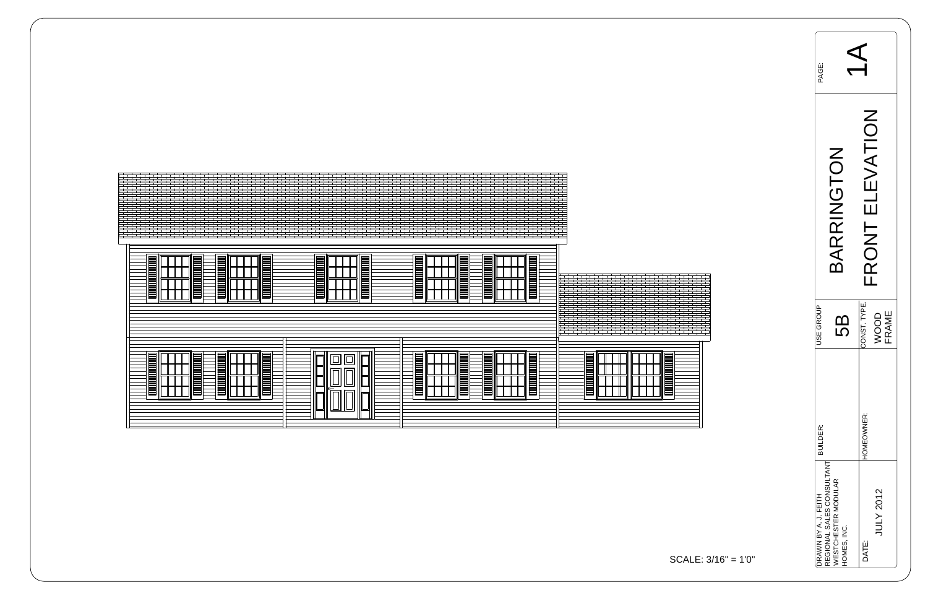| PAGE:                                             |                                    |                                            |  |
|---------------------------------------------------|------------------------------------|--------------------------------------------|--|
|                                                   | 3ARRINGTON                         | ATION<br>$\geq$<br>RONT EI<br>$\mathbf{L}$ |  |
| <b>ISE GROUP</b>                                  | က<br>လ                             | CONST. TYPE.<br><b>FRAME</b><br>OOD        |  |
| <b>BUILDER:</b>                                   |                                    | HOMEOWNER:                                 |  |
| REGIONAL SALES CONSULTANT<br>DRAWN BY A. J. FEITH | WESTCHESTER MODULAR<br>HOMES, INC. | <b>JULY 2012</b><br>DATE:                  |  |



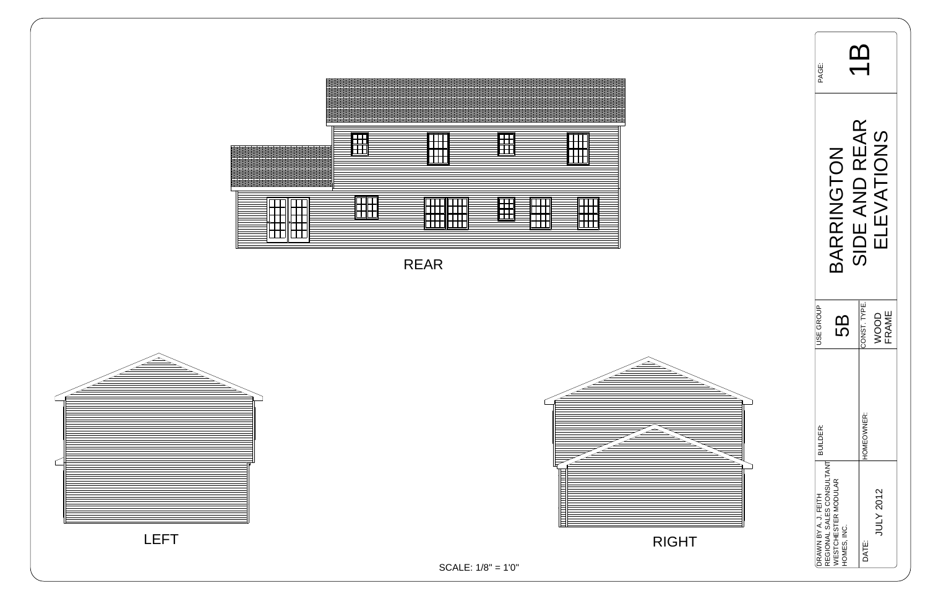| PAGE:                |                                                                               |                                         |
|----------------------|-------------------------------------------------------------------------------|-----------------------------------------|
|                      | BARRINGTON                                                                    | SIDE AND REAR<br>EVATIONS               |
| <b>JSE GROUP</b>     | <u>(၇</u>                                                                     | CONST. TYPE.<br><b>FRAME</b><br>00<br>2 |
| <b>BUILDER:</b>      |                                                                               | HOMEOWNER:                              |
| DRAWN BY A. J. FEITH | REGIONAL SALES CONSULTANT<br><b><i>NESTCHESTER MODULAR</i></b><br>HOMES, INC. | JULY 2012<br>DATE:                      |





SCALE: 1/8" = 1'0"

RIGHT



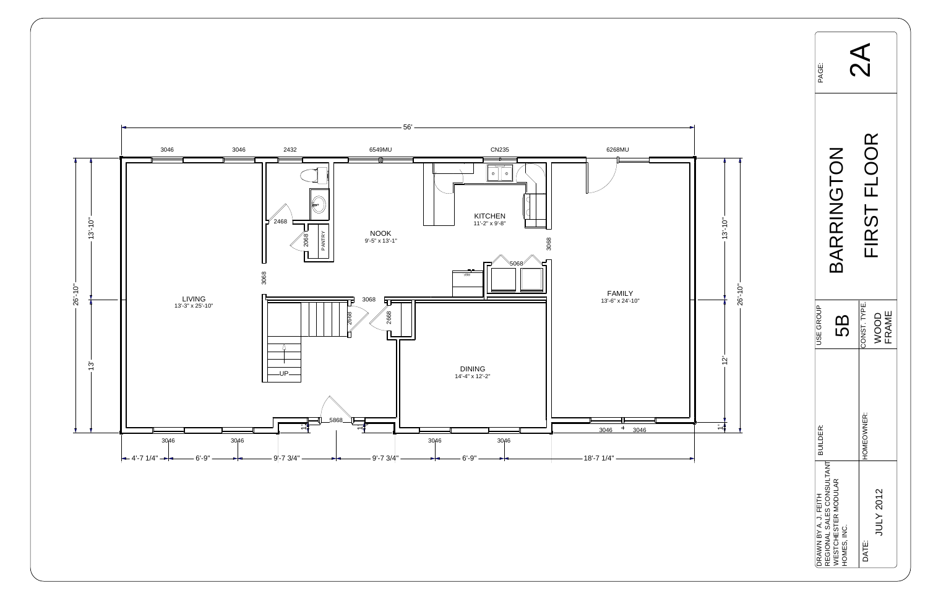